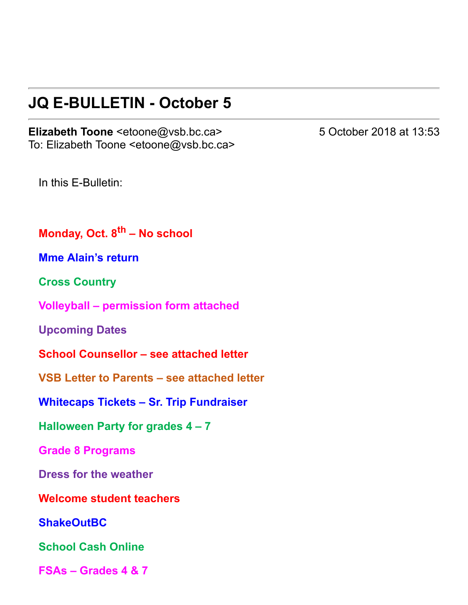## **JQ E-BULLETIN - October 5**

Elizabeth Toone <etoone@vsb.bc.ca> 5 October 2018 at 13:53 To: Elizabeth Toone <etoone@vsb.bc.ca>

In this E-Bulletin:

**Monday, Oct. 8th – No school**

**Mme Alain's return**

**Cross Country**

**Volleyball – permission form attached**

**Upcoming Dates**

**School Counsellor – see attached letter**

**VSB Letter to Parents – see attached letter**

**Whitecaps Tickets – Sr. Trip Fundraiser**

**Halloween Party for grades 4 – 7**

**Grade 8 Programs**

**Dress for the weather**

**Welcome student teachers**

**ShakeOutBC**

**School Cash Online**

**FSAs – Grades 4 & 7**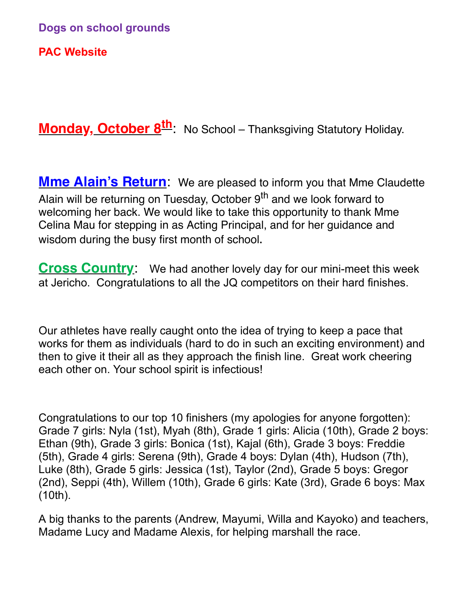**PAC Website**

**Monday, October 8th**: No School – Thanksgiving Statutory Holiday.

**Mme Alain's Return**: We are pleased to inform you that Mme Claudette Alain will be returning on Tuesday, October 9<sup>th</sup> and we look forward to welcoming her back. We would like to take this opportunity to thank Mme Celina Mau for stepping in as Acting Principal, and for her guidance and wisdom during the busy first month of school.

**Cross Country:** We had another lovely day for our mini-meet this week at Jericho. Congratulations to all the JQ competitors on their hard finishes.

Our athletes have really caught onto the idea of trying to keep a pace that works for them as individuals (hard to do in such an exciting environment) and then to give it their all as they approach the finish line. Great work cheering each other on. Your school spirit is infectious!

Congratulations to our top 10 finishers (my apologies for anyone forgotten): Grade 7 girls: Nyla (1st), Myah (8th), Grade 1 girls: Alicia (10th), Grade 2 boys: Ethan (9th), Grade 3 girls: Bonica (1st), Kajal (6th), Grade 3 boys: Freddie (5th), Grade 4 girls: Serena (9th), Grade 4 boys: Dylan (4th), Hudson (7th), Luke (8th), Grade 5 girls: Jessica (1st), Taylor (2nd), Grade 5 boys: Gregor (2nd), Seppi (4th), Willem (10th), Grade 6 girls: Kate (3rd), Grade 6 boys: Max (10th).

A big thanks to the parents (Andrew, Mayumi, Willa and Kayoko) and teachers, Madame Lucy and Madame Alexis, for helping marshall the race.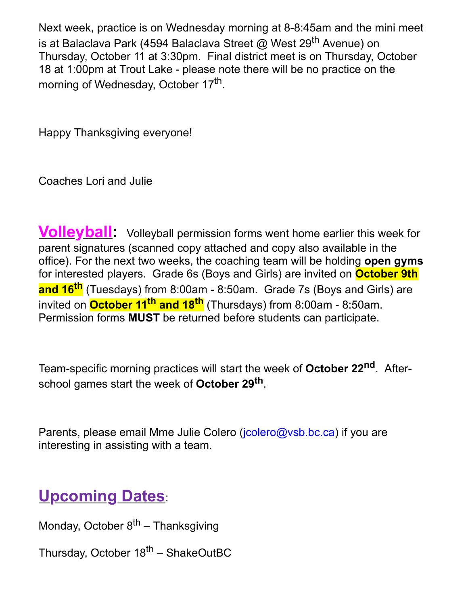Next week, practice is on Wednesday morning at 8-8:45am and the mini meet is at Balaclava Park (4594 Balaclava Street @ West 29<sup>th</sup> Avenue) on Thursday, October 11 at 3:30pm. Final district meet is on Thursday, October 18 at 1:00pm at Trout Lake - please note there will be no practice on the morning of Wednesday, October 17<sup>th</sup>.

Happy Thanksgiving everyone!

Coaches Lori and Julie

**Volleyball:** Volleyball permission forms went home earlier this week for parent signatures (scanned copy attached and copy also available in the office). For the next two weeks, the coaching team will be holding **open gyms** for interested players. Grade 6s (Boys and Girls) are invited on **October 9th and 16th** (Tuesdays) from 8:00am 8:50am. Grade 7s (Boys and Girls) are invited on **October 11 th and 18th** (Thursdays) from 8:00am 8:50am. Permission forms **MUST** be returned before students can participate.

Team-specific morning practices will start the week of **October 22<sup>nd</sup>**. Afterschool games start the week of **October 29th** .

Parents, please email Mme Julie Colero ([jcolero@vsb.bc.ca](mailto:jcolero@vsb.bc.ca)) if you are interesting in assisting with a team.

# **Upcoming Dates**:

Monday, October 8<sup>th</sup> – Thanksgiving

Thursday, October 18<sup>th</sup> – ShakeOutBC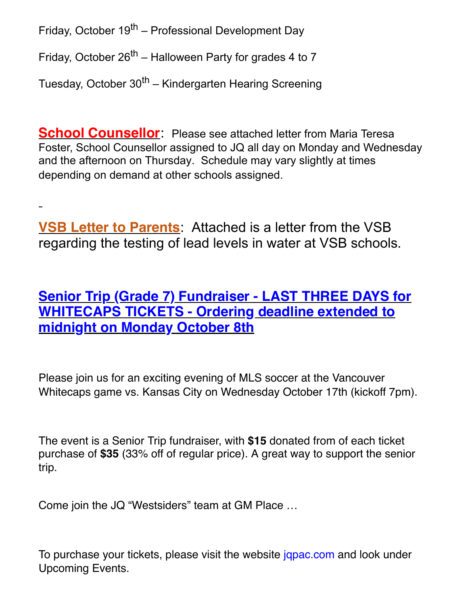Friday, October 19<sup>th</sup> – Professional Development Day

Friday, October 26<sup>th</sup> – Halloween Party for grades 4 to 7

Tuesday, October 30<sup>th</sup> – Kindergarten Hearing Screening

**School Counsellor**: Please see attached letter from Maria Teresa Foster, School Counsellor assigned to JQ all day on Monday and Wednesday and the afternoon on Thursday. Schedule may vary slightly at times depending on demand at other schools assigned.

**VSB Letter to Parents**: Attached is a letter from the VSB regarding the testing of lead levels in water at VSB schools.

**Senior Trip (Grade 7) Fundraiser - LAST THREE DAYS for WHITECAPS TICKETS - Ordering deadline extended to midnight on Monday October 8th**

Please join us for an exciting evening of MLS soccer at the Vancouver Whitecaps game vs. Kansas City on Wednesday October 17th (kickoff 7pm).

The event is a Senior Trip fundraiser, with **\$15** donated from of each ticket purchase of **\$35** (33% off of regular price). A great way to support the senior trip.

Come join the JQ "Westsiders" team at GM Place …

To purchase your tickets, please visit the website japac.com and look under Upcoming Events.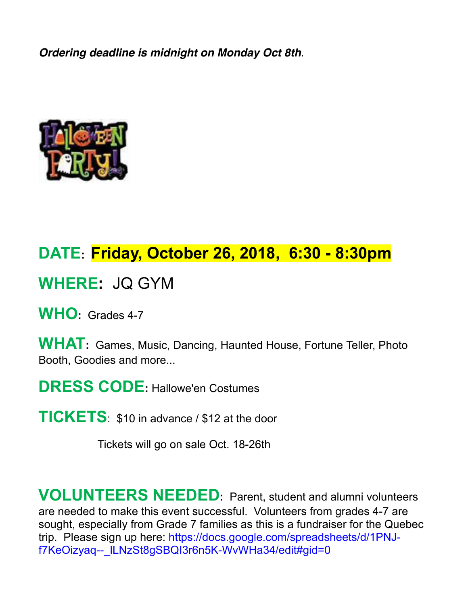*Ordering deadline is midnight on Monday Oct 8th*.



## **DATE: Friday, October 26, 2018, 6:30 8:30pm**

**WHERE:** JQ GYM

WHO<sub>:</sub> Grades 4-7

**WHAT:** Games, Music, Dancing, Haunted House, Fortune Teller, Photo Booth, Goodies and more...

**DRESS CODE:** Hallowe'en Costumes

**TICKETS**: \$10 in advance / \$12 at the door

Tickets will go on sale Oct. 18-26th

**VOLUNTEERS NEEDED:** Parent, student and alumni volunteers are needed to make this event successful. Volunteers from grades 47 are sought, especially from Grade 7 families as this is a fundraiser for the Quebec [trip. Please sign up here: https://docs.google.com/spreadsheets/d/1PNJ](https://docs.google.com/spreadsheets/d/1PNJ-f7KeOizyaq--_lLNzSt8gSBQI3r6n5K-WvWHa34/edit#gid=0)f7KeOizyaq-- ILNzSt8qSBQI3r6n5K-WvWHa34/edit#gid=0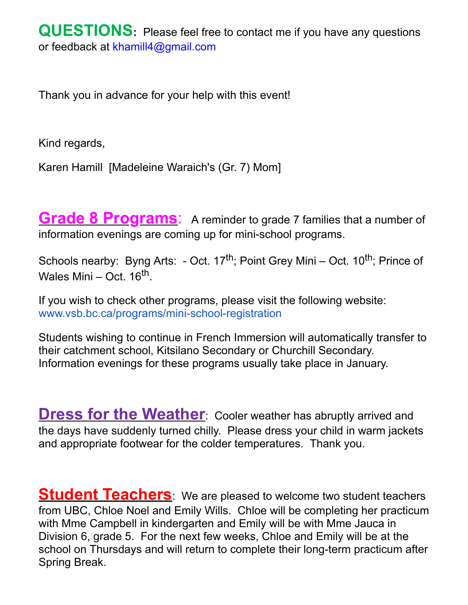Thank you in advance for your help with this event!

Kind regards,

Karen Hamill [Madeleine Waraich's (Gr. 7) Mom]

**Grade 8 Programs**: A reminder to grade 7 families that a number of information evenings are coming up for mini-school programs.

Schools nearby: Byng Arts: - Oct. 17<sup>th</sup>; Point Grey Mini – Oct. 10<sup>th</sup>; Prince of Wales Mini – Oct. 16<sup>th</sup>.

If you wish to check other programs, please visit the following website: www.vsb.bc.ca/programs/mini-school-registration

Students wishing to continue in French Immersion will automatically transfer to their catchment school, Kitsilano Secondary or Churchill Secondary. Information evenings for these programs usually take place in January.

**Dress for the Weather**: Cooler weather has abruptly arrived and the days have suddenly turned chilly. Please dress your child in warm jackets and appropriate footwear for the colder temperatures. Thank you.

**Student Teachers**: We are pleased to welcome two student teachers from UBC, Chloe Noel and Emily Wills. Chloe will be completing her practicum with Mme Campbell in kindergarten and Emily will be with Mme Jauca in Division 6, grade 5. For the next few weeks, Chloe and Emily will be at the school on Thursdays and will return to complete their long-term practicum after Spring Break.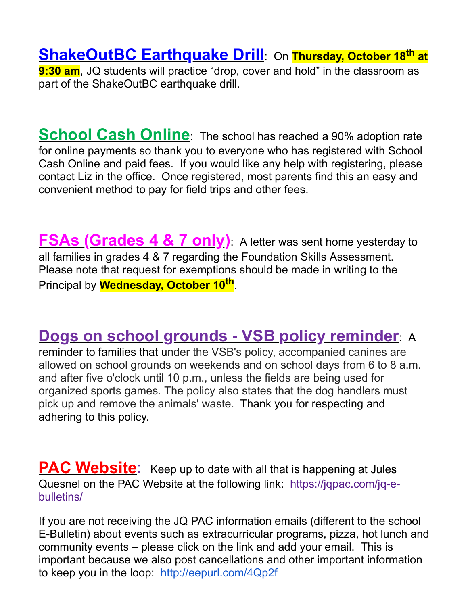**ShakeOutBC Earthquake Drill**: On **Thursday, October 18th at 9:30 am**, JQ students will practice "drop, cover and hold" in the classroom as part of the ShakeOutBC earthquake drill.

**School Cash Online**: The school has reached a 90% adoption rate for online payments so thank you to everyone who has registered with School Cash Online and paid fees. If you would like any help with registering, please contact Liz in the office. Once registered, most parents find this an easy and convenient method to pay for field trips and other fees.

**FSAs (Grades 4 & 7 only)**: A letter was sent home yesterday to all families in grades 4 & 7 regarding the Foundation Skills Assessment. Please note that request for exemptions should be made in writing to the Principal by **Wednesday, October 10th** .

## **Dogs on school grounds VSB policy reminder**: A

reminder to families that under the VSB's policy, accompanied canines are allowed on school grounds on weekends and on school days from 6 to 8 a.m. and after five o'clock until 10 p.m., unless the fields are being used for organized sports games. The policy also states that the dog handlers must pick up and remove the animals' waste. Thank you for respecting and adhering to this policy.

**PAC Website:** Keep up to date with all that is happening at Jules Quesnel on the PAC Website at the following link: https://jgpac.com/jg-ebulletins/

If you are not receiving the JQ PAC information emails (different to the school E-Bulletin) about events such as extracurricular programs, pizza, hot lunch and community events – please click on the link and add your email. This is important because we also post cancellations and other important information to keep you in the loop: <http://eepurl.com/4Qp2f>